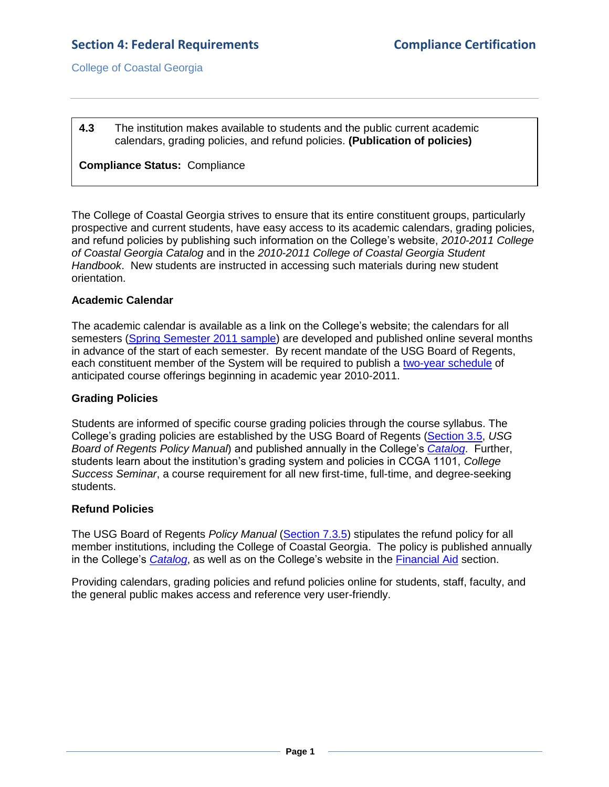College of Coastal Georgia

**4.3** The institution makes available to students and the public current academic calendars, grading policies, and refund policies. **(Publication of policies)**

#### **Compliance Status:** Compliance

The College of Coastal Georgia strives to ensure that its entire constituent groups, particularly prospective and current students, have easy access to its academic calendars, grading policies, and refund policies by publishing such information on the College's website, *2010-2011 College of Coastal Georgia Catalog* and in the *2010-2011 College of Coastal Georgia Student Handbook*. New students are instructed in accessing such materials during new student orientation.

#### **Academic Calendar**

The academic calendar is available as a link on the College's website; the calendars for all semesters [\(Spring Semester 2011](4.3.aSP2011academiccalendar.pdf#page=1) sample) are developed and published online several months in advance of the start of each semester. By recent mandate of the USG Board of Regents, each constituent member of the System will be required to publish a [two-year schedule](4.3.c2YearSchedule.pdf#page=1) of anticipated course offerings beginning in academic year 2010-2011.

### **Grading Policies**

Students are informed of specific course grading policies through the course syllabus. The College's grading policies are established by the USG Board of Regents [\(Section 3.5,](4.3.iUSGBORpolicymanual3.5.pdf#page=1) *USG Board of Regents Policy Manual*) and published annually in the College's *[Catalog](CCGAcatalog.pdf#page=41)*. Further, students learn about the institution's grading system and policies in CCGA 1101, *College Success Seminar*, a course requirement for all new first-time, full-time, and degree-seeking students.

## **Refund Policies**

The USG Board of Regents *Policy Manual* [\(Section 7.3.5\)](4.3.jUSGBORpolicymanual7.3.5.pdf#page=12) stipulates the refund policy for all member institutions, including the College of Coastal Georgia. The policy is published annually in the College's *[Catalog](CCGAcatalog.pdf#page=17)*, as well as on the College's website in the [Financial Aid](4.3.kCCGAwebsiteFArefund.htm#page=1) section.

Providing calendars, grading policies and refund policies online for students, staff, faculty, and the general public makes access and reference very user-friendly.